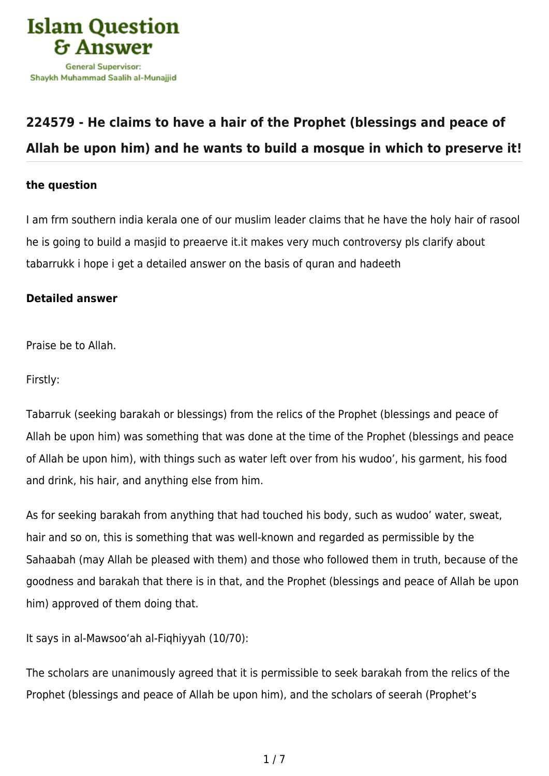

# **[224579 - He claims to have a hair of the Prophet \(blessings and peace of](https://islamqa.com/en/answers/224579/he-claims-to-have-a-hair-of-the-prophet-blessings-and-peace-of-allah-be-upon-him-and-he-wants-to-build-a-mosque-in-which-to-preserve-it) [Allah be upon him\) and he wants to build a mosque in which to preserve it!](https://islamqa.com/en/answers/224579/he-claims-to-have-a-hair-of-the-prophet-blessings-and-peace-of-allah-be-upon-him-and-he-wants-to-build-a-mosque-in-which-to-preserve-it)**

## **the question**

I am frm southern india kerala one of our muslim leader claims that he have the holy hair of rasool he is going to build a masjid to preaerve it.it makes very much controversy pls clarify about tabarrukk i hope i get a detailed answer on the basis of quran and hadeeth

# **Detailed answer**

Praise be to Allah.

Firstly:

Tabarruk (seeking barakah or blessings) from the relics of the Prophet (blessings and peace of Allah be upon him) was something that was done at the time of the Prophet (blessings and peace of Allah be upon him), with things such as water left over from his wudoo', his garment, his food and drink, his hair, and anything else from him.

As for seeking barakah from anything that had touched his body, such as wudoo' water, sweat, hair and so on, this is something that was well-known and regarded as permissible by the Sahaabah (may Allah be pleased with them) and those who followed them in truth, because of the goodness and barakah that there is in that, and the Prophet (blessings and peace of Allah be upon him) approved of them doing that.

It says in al-Mawsoo'ah al-Fiqhiyyah (10/70):

The scholars are unanimously agreed that it is permissible to seek barakah from the relics of the Prophet (blessings and peace of Allah be upon him), and the scholars of seerah (Prophet's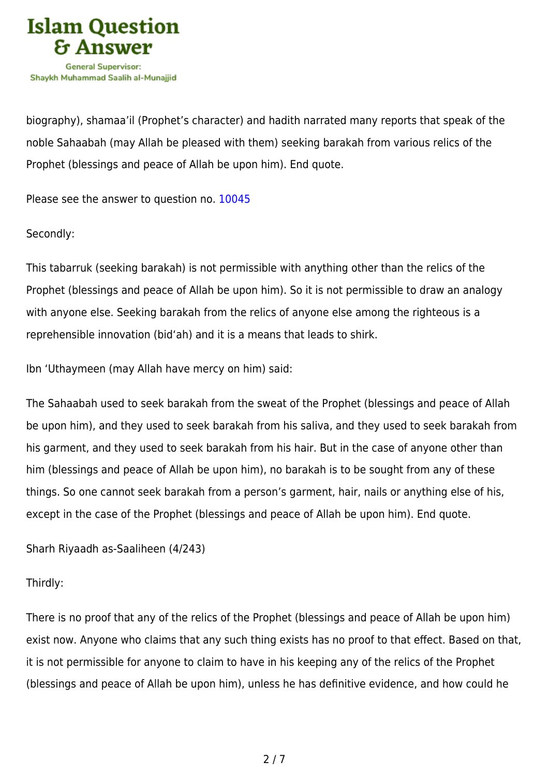

biography), shamaa'il (Prophet's character) and hadith narrated many reports that speak of the noble Sahaabah (may Allah be pleased with them) seeking barakah from various relics of the Prophet (blessings and peace of Allah be upon him). End quote.

Please see the answer to question no. [10045](https://islamqa.com/en/answers/10045)

Secondly:

This tabarruk (seeking barakah) is not permissible with anything other than the relics of the Prophet (blessings and peace of Allah be upon him). So it is not permissible to draw an analogy with anyone else. Seeking barakah from the relics of anyone else among the righteous is a reprehensible innovation (bid'ah) and it is a means that leads to shirk.

Ibn 'Uthaymeen (may Allah have mercy on him) said:

The Sahaabah used to seek barakah from the sweat of the Prophet (blessings and peace of Allah be upon him), and they used to seek barakah from his saliva, and they used to seek barakah from his garment, and they used to seek barakah from his hair. But in the case of anyone other than him (blessings and peace of Allah be upon him), no barakah is to be sought from any of these things. So one cannot seek barakah from a person's garment, hair, nails or anything else of his, except in the case of the Prophet (blessings and peace of Allah be upon him). End quote.

Sharh Riyaadh as-Saaliheen (4/243)

Thirdly:

There is no proof that any of the relics of the Prophet (blessings and peace of Allah be upon him) exist now. Anyone who claims that any such thing exists has no proof to that effect. Based on that, it is not permissible for anyone to claim to have in his keeping any of the relics of the Prophet (blessings and peace of Allah be upon him), unless he has definitive evidence, and how could he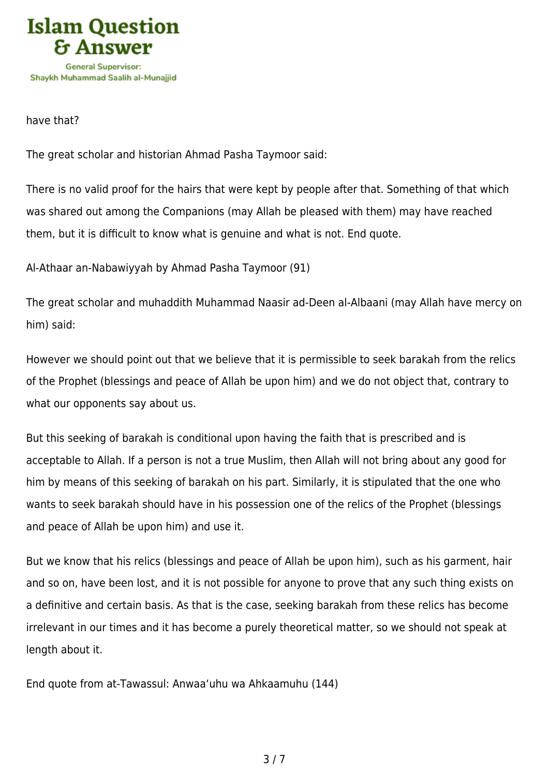

have that?

The great scholar and historian Ahmad Pasha Taymoor said:

There is no valid proof for the hairs that were kept by people after that. Something of that which was shared out among the Companions (may Allah be pleased with them) may have reached them, but it is difficult to know what is genuine and what is not. End quote.

Al-Athaar an-Nabawiyyah by Ahmad Pasha Taymoor (91)

The great scholar and muhaddith Muhammad Naasir ad-Deen al-Albaani (may Allah have mercy on him) said:

However we should point out that we believe that it is permissible to seek barakah from the relics of the Prophet (blessings and peace of Allah be upon him) and we do not object that, contrary to what our opponents say about us.

But this seeking of barakah is conditional upon having the faith that is prescribed and is acceptable to Allah. If a person is not a true Muslim, then Allah will not bring about any good for him by means of this seeking of barakah on his part. Similarly, it is stipulated that the one who wants to seek barakah should have in his possession one of the relics of the Prophet (blessings and peace of Allah be upon him) and use it.

But we know that his relics (blessings and peace of Allah be upon him), such as his garment, hair and so on, have been lost, and it is not possible for anyone to prove that any such thing exists on a definitive and certain basis. As that is the case, seeking barakah from these relics has become irrelevant in our times and it has become a purely theoretical matter, so we should not speak at length about it.

End quote from at-Tawassul: Anwaa'uhu wa Ahkaamuhu (144)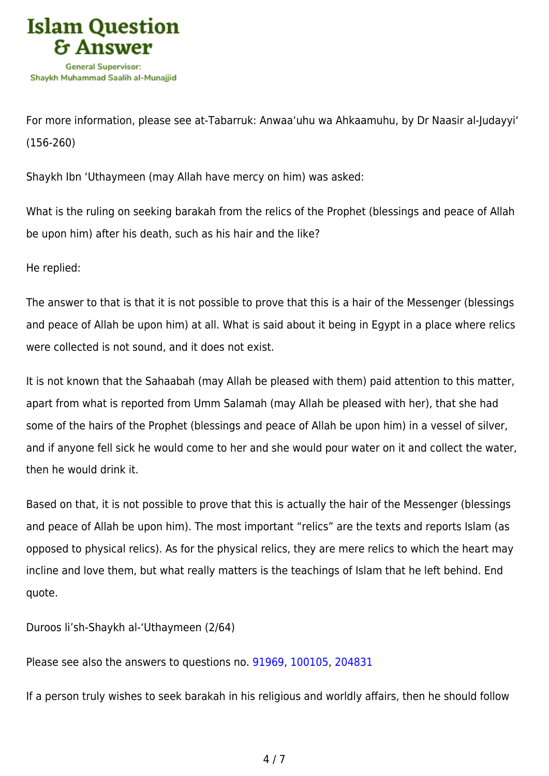

For more information, please see at-Tabarruk: Anwaa'uhu wa Ahkaamuhu, by Dr Naasir al-Judayyi' (156-260)

Shaykh Ibn 'Uthaymeen (may Allah have mercy on him) was asked:

What is the ruling on seeking barakah from the relics of the Prophet (blessings and peace of Allah be upon him) after his death, such as his hair and the like?

He replied:

The answer to that is that it is not possible to prove that this is a hair of the Messenger (blessings and peace of Allah be upon him) at all. What is said about it being in Egypt in a place where relics were collected is not sound, and it does not exist.

It is not known that the Sahaabah (may Allah be pleased with them) paid attention to this matter, apart from what is reported from Umm Salamah (may Allah be pleased with her), that she had some of the hairs of the Prophet (blessings and peace of Allah be upon him) in a vessel of silver, and if anyone fell sick he would come to her and she would pour water on it and collect the water, then he would drink it.

Based on that, it is not possible to prove that this is actually the hair of the Messenger (blessings and peace of Allah be upon him). The most important "relics" are the texts and reports Islam (as opposed to physical relics). As for the physical relics, they are mere relics to which the heart may incline and love them, but what really matters is the teachings of Islam that he left behind. End quote.

Duroos li'sh-Shaykh al-'Uthaymeen (2/64)

Please see also the answers to questions no. [91969](https://islamqa.com/en/answers/91969), [100105](https://islamqa.com/en/answers/100105), [204831](https://islamqa.com/ar/answers/)

If a person truly wishes to seek barakah in his religious and worldly affairs, then he should follow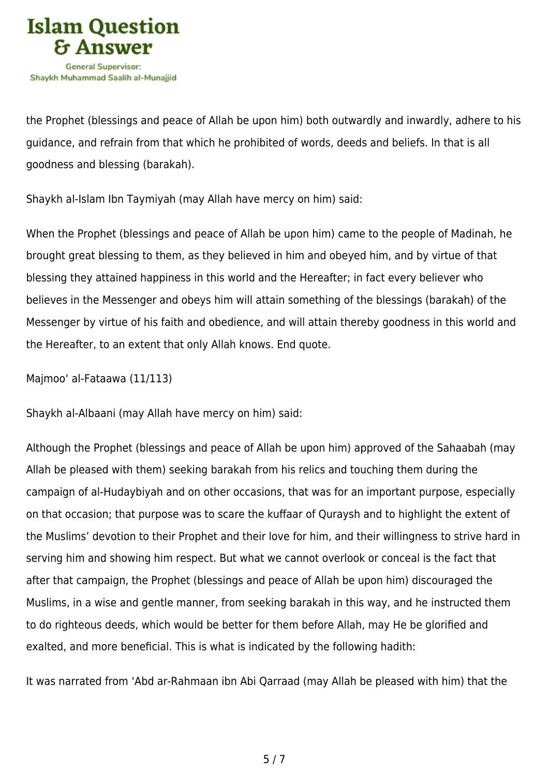

the Prophet (blessings and peace of Allah be upon him) both outwardly and inwardly, adhere to his guidance, and refrain from that which he prohibited of words, deeds and beliefs. In that is all goodness and blessing (barakah).

Shaykh al-Islam Ibn Taymiyah (may Allah have mercy on him) said:

When the Prophet (blessings and peace of Allah be upon him) came to the people of Madinah, he brought great blessing to them, as they believed in him and obeyed him, and by virtue of that blessing they attained happiness in this world and the Hereafter; in fact every believer who believes in the Messenger and obeys him will attain something of the blessings (barakah) of the Messenger by virtue of his faith and obedience, and will attain thereby goodness in this world and the Hereafter, to an extent that only Allah knows. End quote.

Majmoo' al-Fataawa (11/113)

Shaykh al-Albaani (may Allah have mercy on him) said:

Although the Prophet (blessings and peace of Allah be upon him) approved of the Sahaabah (may Allah be pleased with them) seeking barakah from his relics and touching them during the campaign of al-Hudaybiyah and on other occasions, that was for an important purpose, especially on that occasion; that purpose was to scare the kuffaar of Quraysh and to highlight the extent of the Muslims' devotion to their Prophet and their love for him, and their willingness to strive hard in serving him and showing him respect. But what we cannot overlook or conceal is the fact that after that campaign, the Prophet (blessings and peace of Allah be upon him) discouraged the Muslims, in a wise and gentle manner, from seeking barakah in this way, and he instructed them to do righteous deeds, which would be better for them before Allah, may He be glorified and exalted, and more beneficial. This is what is indicated by the following hadith:

It was narrated from 'Abd ar-Rahmaan ibn Abi Qarraad (may Allah be pleased with him) that the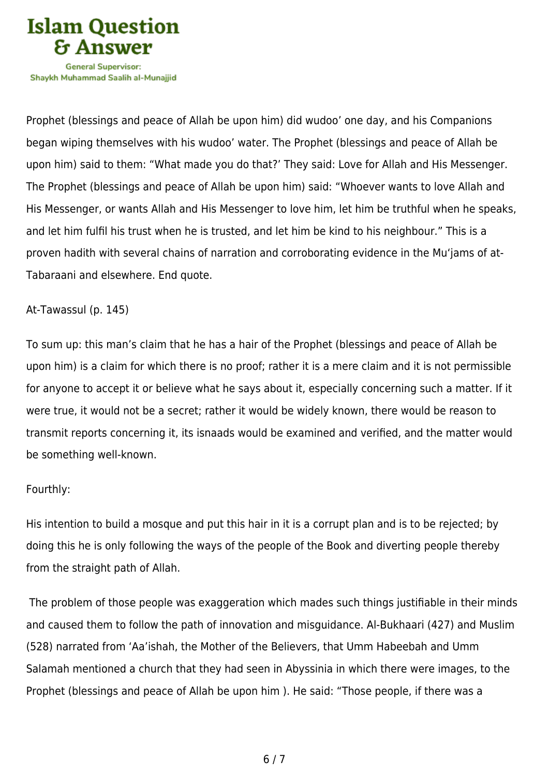

Shavkh Muhammad Saalih al-Munaiiid

Prophet (blessings and peace of Allah be upon him) did wudoo' one day, and his Companions began wiping themselves with his wudoo' water. The Prophet (blessings and peace of Allah be upon him) said to them: "What made you do that?' They said: Love for Allah and His Messenger. The Prophet (blessings and peace of Allah be upon him) said: "Whoever wants to love Allah and His Messenger, or wants Allah and His Messenger to love him, let him be truthful when he speaks, and let him fulfil his trust when he is trusted, and let him be kind to his neighbour." This is a proven hadith with several chains of narration and corroborating evidence in the Mu'jams of at-Tabaraani and elsewhere. End quote.

#### At-Tawassul (p. 145)

To sum up: this man's claim that he has a hair of the Prophet (blessings and peace of Allah be upon him) is a claim for which there is no proof; rather it is a mere claim and it is not permissible for anyone to accept it or believe what he says about it, especially concerning such a matter. If it were true, it would not be a secret; rather it would be widely known, there would be reason to transmit reports concerning it, its isnaads would be examined and verified, and the matter would be something well-known.

#### Fourthly:

His intention to build a mosque and put this hair in it is a corrupt plan and is to be rejected; by doing this he is only following the ways of the people of the Book and diverting people thereby from the straight path of Allah.

 The problem of those people was exaggeration which mades such things justifiable in their minds and caused them to follow the path of innovation and misguidance. Al-Bukhaari (427) and Muslim (528) narrated from 'Aa'ishah, the Mother of the Believers, that Umm Habeebah and Umm Salamah mentioned a church that they had seen in Abyssinia in which there were images, to the Prophet (blessings and peace of Allah be upon him ). He said: "Those people, if there was a